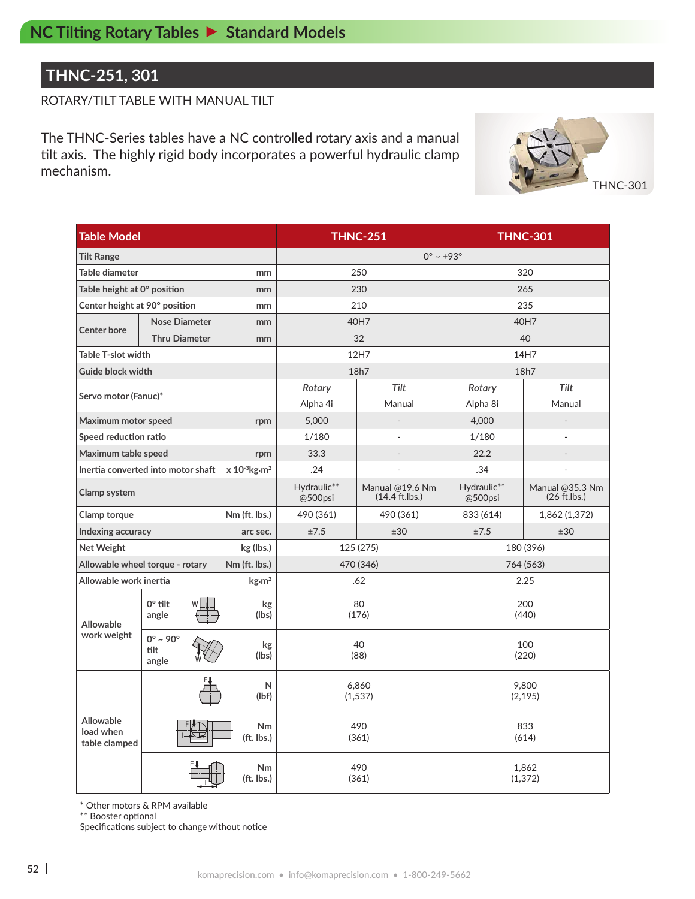## **THNC-251, 301**

### ROTARY/TILT TABLE WITH MANUAL TILT

The THNC-Series tables have a NC controlled rotary axis and a manual tilt axis. The highly rigid body incorporates a powerful hydraulic clamp mechanism.



| <b>Table Model</b>                                     |                                          |                               |                              | <b>THNC-251</b>                     | <b>THNC-301</b>         |                                    |  |  |  |
|--------------------------------------------------------|------------------------------------------|-------------------------------|------------------------------|-------------------------------------|-------------------------|------------------------------------|--|--|--|
| <b>Tilt Range</b>                                      |                                          |                               | $0^{\circ} \sim +93^{\circ}$ |                                     |                         |                                    |  |  |  |
| Table diameter                                         |                                          | mm                            |                              | 250                                 | 320                     |                                    |  |  |  |
| Table height at 0° position<br>mm                      |                                          |                               |                              | 230                                 | 265                     |                                    |  |  |  |
| Center height at 90° position<br>mm                    |                                          |                               |                              | 210                                 | 235                     |                                    |  |  |  |
|                                                        | <b>Nose Diameter</b>                     | mm                            |                              | 40H7                                | 40H7                    |                                    |  |  |  |
| <b>Center bore</b>                                     | <b>Thru Diameter</b>                     | mm                            |                              | 32                                  | 40                      |                                    |  |  |  |
| <b>Table T-slot width</b>                              |                                          |                               |                              | 12H7                                | 14H7                    |                                    |  |  |  |
| Guide block width                                      |                                          |                               |                              | 18h7                                | 18h7                    |                                    |  |  |  |
|                                                        |                                          |                               | Rotary                       | Tilt                                | Tilt<br>Rotary          |                                    |  |  |  |
| Servo motor (Fanuc)*                                   |                                          |                               | Alpha 4i                     | Manual                              | Alpha 8i                | Manual                             |  |  |  |
| Maximum motor speed                                    |                                          | rpm                           | 5,000                        |                                     | 4,000                   |                                    |  |  |  |
| Speed reduction ratio                                  |                                          |                               | 1/180                        | $\overline{a}$                      | 1/180<br>$\overline{a}$ |                                    |  |  |  |
|                                                        | Maximum table speed<br>rpm               |                               |                              |                                     | 22.2                    | $\overline{a}$                     |  |  |  |
|                                                        | Inertia converted into motor shaft       | $x 10^{-3}$ kg·m <sup>2</sup> | .24                          | ÷,                                  | .34                     | $\overline{\phantom{a}}$           |  |  |  |
| Clamp system                                           |                                          |                               | Hydraulic**<br>@500psi       | Manual @19.6 Nm<br>$(14.4$ ft.lbs.) | Hydraulic**<br>@500psi  | Manual @35.3 Nm<br>$(26 ft.$ lbs.) |  |  |  |
| Clamp torque                                           |                                          | Nm (ft. lbs.)                 | 490 (361)                    | 490 (361)                           | 833 (614)               | 1,862 (1,372)                      |  |  |  |
| Indexing accuracy<br>arc sec.                          |                                          |                               | ±7.5                         | ±30                                 | ±7.5                    | ±30                                |  |  |  |
| Net Weight<br>kg (lbs.)                                |                                          |                               |                              | 125 (275)                           | 180 (396)               |                                    |  |  |  |
| Allowable wheel torque - rotary<br>Nm (ft. lbs.)       |                                          |                               |                              | 470 (346)                           | 764 (563)               |                                    |  |  |  |
| Allowable work inertia<br>$\text{kg} \cdot \text{m}^2$ |                                          |                               |                              | .62                                 | 2.25                    |                                    |  |  |  |
| Allowable                                              | $0^\circ$ tilt<br>angle                  | kg<br>(lbs)                   |                              | 80<br>(176)                         |                         | 200<br>(440)                       |  |  |  |
| work weight                                            | $0^\circ \sim 90^\circ$<br>tilt<br>angle | kg<br>(lbs)                   |                              | 40<br>(88)                          | 100<br>(220)            |                                    |  |  |  |
|                                                        |                                          | N<br>(lbf)                    |                              | 6,860<br>(1,537)                    | 9,800<br>(2, 195)       |                                    |  |  |  |
| <b>Allowable</b><br>load when<br>table clamped         |                                          | <b>Nm</b><br>(ft. lbs.)       |                              | 490<br>(361)                        | 833<br>(614)            |                                    |  |  |  |
|                                                        |                                          | Nm<br>(ft. lbs.)              |                              | 490<br>(361)                        | 1,862<br>(1, 372)       |                                    |  |  |  |

\* Other motors & RPM available

\*\* Booster optional

Specifications subject to change without notice